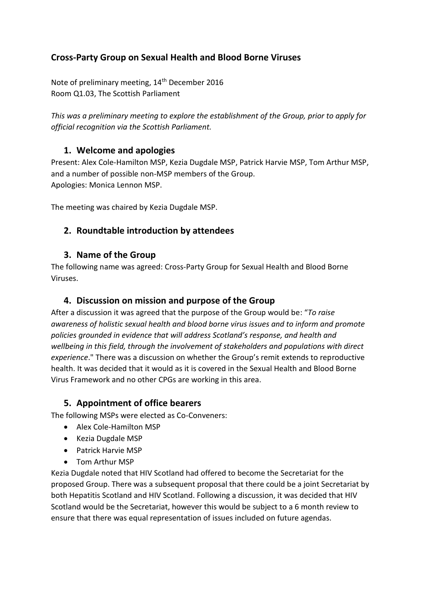### **Cross-Party Group on Sexual Health and Blood Borne Viruses**

Note of preliminary meeting, 14<sup>th</sup> December 2016 Room Q1.03, The Scottish Parliament

*This was a preliminary meeting to explore the establishment of the Group, prior to apply for official recognition via the Scottish Parliament.* 

#### **1. Welcome and apologies**

Present: Alex Cole-Hamilton MSP, Kezia Dugdale MSP, Patrick Harvie MSP, Tom Arthur MSP, and a number of possible non-MSP members of the Group. Apologies: Monica Lennon MSP.

The meeting was chaired by Kezia Dugdale MSP.

#### **2. Roundtable introduction by attendees**

#### **3. Name of the Group**

The following name was agreed: Cross-Party Group for Sexual Health and Blood Borne Viruses.

#### **4. Discussion on mission and purpose of the Group**

After a discussion it was agreed that the purpose of the Group would be: "*To raise awareness of holistic sexual health and blood borne virus issues and to inform and promote policies grounded in evidence that will address Scotland's response, and health and wellbeing in this field, through the involvement of stakeholders and populations with direct experience*." There was a discussion on whether the Group's remit extends to reproductive health. It was decided that it would as it is covered in the Sexual Health and Blood Borne Virus Framework and no other CPGs are working in this area.

#### **5. Appointment of office bearers**

The following MSPs were elected as Co-Conveners:

- Alex Cole-Hamilton MSP
- Kezia Dugdale MSP
- Patrick Harvie MSP
- Tom Arthur MSP

Kezia Dugdale noted that HIV Scotland had offered to become the Secretariat for the proposed Group. There was a subsequent proposal that there could be a joint Secretariat by both Hepatitis Scotland and HIV Scotland. Following a discussion, it was decided that HIV Scotland would be the Secretariat, however this would be subject to a 6 month review to ensure that there was equal representation of issues included on future agendas.